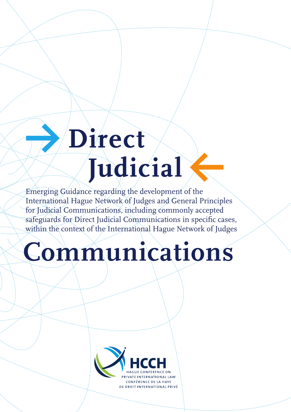# **Y Direct Judicial**

Emerging Guidance regarding the development of the International Hague Network of Judges and General Principles for Judicial Communications, including commonly accepted safeguards for Direct Judicial Communications in specific cases, within the context of the International Hague Network of Judges

## **Communications**

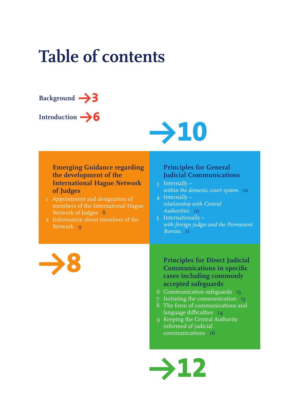## **Table of contents**



Introduction  $\rightarrow$  **6** 



#### **Emerging Guidance regarding the development of the International Hague Network of Judges**

- 1 Appointment and designation of members of the International Hague Network of Judges 8
- 2 Information about members of the Network 9

#### **Principles for General Judicial Communications**

- 3 Internally *within the domestic court system* **10**
- 4 Internally *relationship with Central Authorities* 10
- 5 Internationally *with foreign judges and the Permanent Bureau* **11**

**Y8**

**Principles for Direct Judicial Communications in specific cases including commonly accepted safeguards**

- 6 Communication safeguards 13
- 7 Initiating the communication 13 8 The form of communications and
- language difficulties 14
- 9 Keeping the Central Authority informed of judicial communications 16

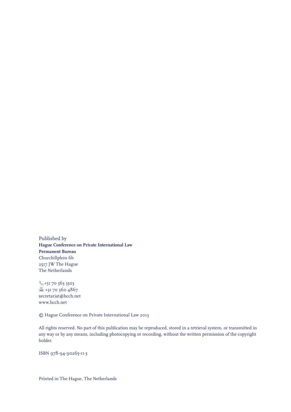Published by **Hague Conference on Private International Law Permanent Bureau** Churchillplein 6b 2517 JW The Hague The Netherlands

 $\frac{6}{3} + 31703633303$  $\equiv$  +31 70 360 4867 secretariat@hcch.net www.hcch.net

© Hague Conference on Private International Law 2013

All rights reserved. No part of this publication may be reproduced, stored in a retrieval system, or transmitted in any way or by any means, including photocopying or recording, without the written permission of the copyright holder.

ISBN 978-94-90265-11-3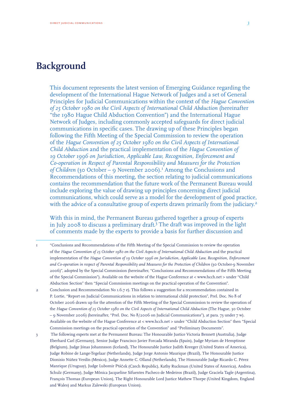### **Background**

This document represents the latest version of Emerging Guidance regarding the development of the International Hague Network of Judges and a set of General Principles for Judicial Communications within the context of the *Hague Convention of 25 October 1980 on the Civil Aspects of International Child Abduction* (hereinafter "the 1980 Hague Child Abduction Convention") and the International Hague Network of Judges, including commonly accepted safeguards for direct judicial communications in specific cases. The drawing up of these Principles began following the Fifth Meeting of the Special Commission to review the operation of the *Hague Convention of 25 October 1980 on the Civil Aspects of International Child Abduction* and the practical implementation of the *Hague Convention of 19 October 1996 on Jurisdiction, Applicable Law, Recognition, Enforcement and Co-operation in Respect of Parental Responsibility and Measures for the Protection*  of Children (30 October - 9 November 2006).<sup>I</sup> Among the Conclusions and Recommendations of this meeting, the section relating to judicial communications contains the recommendation that the future work of the Permanent Bureau would include exploring the value of drawing up principles concerning direct judicial communications, which could serve as a model for the development of good practice, with the advice of a consultative group of experts drawn primarily from the judiciary.<sup>2</sup>

With this in mind, the Permanent Bureau gathered together a group of experts in July 2008 to discuss a preliminary draft.<sup>3</sup> The draft was improved in the light of comments made by the experts to provide a basis for further discussion and

- 1 "Conclusions and Recommendations of the Fifth Meeting of the Special Commission to review the operation of the *Hague Convention of 25 October 1980 on the Civil Aspects of International Child Abduction* and the practical implementation of the *Hague Convention of 19 October 1996 on Jurisdiction, Applicable Law, Recognition, Enforcement and Co-operation in respect of Parental Responsibility and Measures for the Protection of Children* (30 October-9 November 2006)", adopted by the Special Commission (hereinafter, "Conclusions and Recommendations of the Fifth Meeting of the Special Commission"). Available on the website of the Hague Conference at < www.hcch.net > under "Child Abduction Section" then "Special Commission meetings on the practical operation of the Convention".
- 2 Conclusion and Recommendation No 1.6.7 e). This follows a suggestion for a recommendation contained in P. Lortie, "Report on Judicial Communications in relation to international child protection", Prel. Doc. No 8 of October 2006 drawn up for the attention of the Fifth Meeting of the Special Commission to review the operation of the *Hague Convention of 25 October 1980 on the Civil Aspects of International Child Abduction* (The Hague, 30 October – 9 November 2006) (hereinafter, "Prel. Doc. No 8/2006 on Judicial Communications"), at para. 73 under 7 w). Available on the website of the Hague Conference at < www.hcch.net > under "Child Abduction Section" then "Special Commission meetings on the practical operation of the Convention" and "Preliminary Documents".
- 3 The following experts met at the Permanent Bureau: The Honourable Justice Victoria Bennett (Australia), Judge Eberhard Carl (Germany), Senior Judge Francisco Javier Forcada Miranda (Spain), Judge Myriam de Hemptinne (Belgium), Judge Jónas Johannsson (Iceland), The Honourable Justice Judith Kreeger (United States of America), Judge Robine de Lange-Tegelaar (Netherlands), Judge Jorge Antonio Maurique (Brazil), The Honourable Justice Dionisio Núñez Verdín (Mexico), Judge Annette C. Olland (Netherlands), The Honourable Judge Ricardo C. Pérez Manrique (Uruguay), Judge Lubomir Ptáček (Czech Republic), Kathy Ruckman (United States of America), Andrea Schulz (Germany), Judge Mônica Jacqueline Sifuentes Pacheco de Medeiros (Brazil), Judge Graciela Tagle (Argentina), François Thomas (European Union), The Right Honourable Lord Justice Mathew Thorpe (United Kingdom, England and Wales) and Markus Zalewski (European Union).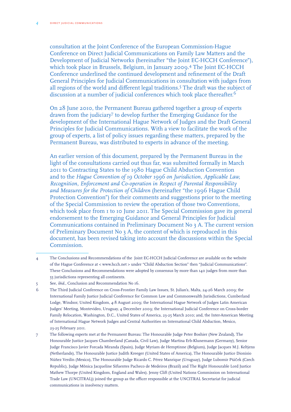consultation at the Joint Conference of the European Commission-Hague Conference on Direct Judicial Communications on Family Law Matters and the Development of Judicial Networks (hereinafter "the Joint EC-HCCH Conference"), which took place in Brussels, Belgium, in January 2009.4 The Joint EC-HCCH Conference underlined the continued development and refinement of the Draft General Principles for Judicial Communications in consultation with judges from all regions of the world and different legal traditions.5 The draft was the subject of discussion at a number of judicial conferences which took place thereafter.<sup>6</sup>

On 28 June 2010, the Permanent Bureau gathered together a group of experts drawn from the judiciary7 to develop further the Emerging Guidance for the development of the International Hague Network of Judges and the Draft General Principles for Judicial Communications. With a view to facilitate the work of the group of experts, a list of policy issues regarding these matters, prepared by the Permanent Bureau, was distributed to experts in advance of the meeting.

An earlier version of this document, prepared by the Permanent Bureau in the light of the consultations carried out thus far, was submitted formally in March 2011 to Contracting States to the 1980 Hague Child Abduction Convention and to the *Hague Convention of 19 October 1996 on Jurisdiction, Applicable Law, Recognition, Enforcement and Co-operation in Respect of Parental Responsibility and Measures for the Protection of Children* (hereinafter "the 1996 Hague Child Protection Convention") for their comments and suggestions prior to the meeting of the Special Commission to review the operation of those two Conventions, which took place from 1 to 10 June 2011. The Special Commission gave its general endorsement to the Emerging Guidance and General Principles for Judicial Communications contained in Preliminary Document No 3 A. The current version of Preliminary Document No 3 A, the content of which is reproduced in this document, has been revised taking into account the discussions within the Special Commission.

<sup>4</sup> The Conclusions and Recommendations of the Joint EC-HCCH Judicial Conference are available on the website of the Hague Conference at < www.hcch.net > under "Child Abduction Section" then "Judicial Communications". These Conclusions and Recommendations were adopted by consensus by more than 140 judges from more than 55 jurisdictions representing all continents.

<sup>5</sup> See, *ibid*., Conclusion and Recommendation No 16.

<sup>6</sup> The Third Judicial Conference on Cross-Frontier Family Law Issues, St. Julian's, Malta, 24-26 March 2009; the International Family Justice Judicial Conference for Common Law and Commonwealth Jurisdictions, Cumberland Lodge, Windsor, United Kingdom, 4-8 August 2009; the International Hague Network of Judges Latin American Judges' Meeting, Montevideo, Uruguay, 4 December 2009; the International Judicial Conference on Cross-border Family Relocation, Washington, D.C., United States of America, 23-25 March 2010; and, the Inter-American Meeting of International Hague Network Judges and Central Authorities on International Child Abduction, Mexico, 23-25 February 2011.

<sup>7</sup> The following experts met at the Permanent Bureau: The Honourable Judge Peter Boshier (New Zealand), The Honourable Justice Jacques Chamberland (Canada, Civil Law), Judge Martina Erb-Klunemann (Germany), Senior Judge Francisco Javier Forcada Miranda (Spain), Judge Myriam de Hemptinne (Belgium), Judge Jacques M.J. Keltjens (Netherlands), The Honourable Justice Judith Kreeger (United States of America), The Honourable Justice Dionisio Núñez Verdín (Mexico), The Honourable Judge Ricardo C. Pérez Manrique (Uruguay), Judge Lubomir Ptáček (Czech Republic), Judge Mônica Jacqueline Sifuentes Pacheco de Medeiros (Brazil) and The Right Honourable Lord Justice Mathew Thorpe (United Kingdom, England and Wales). Jenny Clift (United Nations Commission on International Trade Law (UNCITRAL)) joined the group as the officer responsible at the UNCITRAL Secretariat for judicial communications in insolvency matters.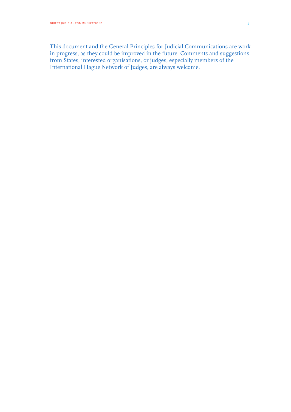This document and the General Principles for Judicial Communications are work in progress, as they could be improved in the future. Comments and suggestions from States, interested organisations, or judges, especially members of the International Hague Network of Judges, are always welcome.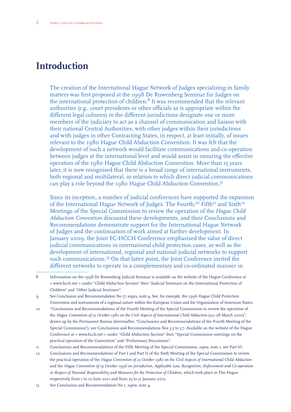### **Introduction**

The creation of the International Hague Network of Judges specialising in family matters was first proposed at the 1998 De Ruwenberg Seminar for Judges on the international protection of children.<sup>8</sup> It was recommended that the relevant authorities (*e.g*., court presidents or other officials as is appropriate within the different legal cultures) in the different jurisdictions designate one or more members of the judiciary to act as a channel of communication and liaison with their national Central Authorities, with other judges within their jurisdictions and with judges in other Contracting States, in respect, at least initially, of issues relevant to the 1980 Hague Child Abduction Convention. It was felt that the development of such a network would facilitate communications and co-operation between judges at the international level and would assist in ensuring the effective operation of the 1980 Hague Child Abduction Convention. More than 15 years later, it is now recognised that there is a broad range of international instruments, both regional and multilateral, in relation to which direct judicial communications can play a role beyond the 1980 Hague Child Abduction Convention.9

Since its inception, a number of judicial conferences have supported the expansion of the International Hague Network of Judges. The Fourth,<sup>10</sup> Fifth<sup>11</sup> and Sixth<sup>12</sup> Meetings of the Special Commission to review the operation of the *Hague Child Abduction Convention* discussed these developments, and their Conclusions and Recommendations demonstrate support for the International Hague Network of Judges and the continuation of work aimed at further development. In January 2009, the Joint EC-HCCH Conference emphasised the value of direct judicial communications in international child protection cases, as well as the development of international, regional and national judicial networks to support such communications.<sup>13</sup> On that latter point, the Joint Conference invited the different networks to operate in a complementary and co-ordinated manner in

<sup>8</sup> Information on the 1998 De Ruwenberg Judicial Seminar is available on the website of the Hague Conference at < www.hcch.net > under "Child Abduction Section" then "Judicial Seminars on the International Protection of Children" and "Other Judicial Seminars".

<sup>9</sup> See Conclusion and Recommendation No 17, supra, note 4. See, for example, the 1996 Hague Child Protection Convention and instruments of a regional nature within the European Union and the Organization of American States.

<sup>10</sup> "Conclusions and Recommendations of the Fourth Meeting of the Special Commission to review the operation of the *Hague Convention of 25 October 1980 on the Civil Aspects of International Child Abduction* (22–28 March 2001)", drawn up by the Permanent Bureau (hereinafter, "Conclusions and Recommendations of the Fourth Meeting of the Special Commission"), see Conclusions and Recommendations Nos 5.5 to 5.7. Available on the website of the Hague Conference at < www.hcch.net > under "Child Abduction Section" then "Special Commission meetings on the practical operation of the Convention" and "Preliminary Documents".

<sup>11</sup> Conclusions and Recommendations of the Fifth Meeting of the Special Commission, *supra*, note 1, see Part VI.

<sup>12</sup> Conclusions and Recommendations of Part I and Part II of the Sixth Meeting of the Special Commission to review the practical operation of the *Hague Convention of 25 October 1980 on the Civil Aspects of International Child Abduction* and the *Hague Convention of 19 October 1996 on Jurisdiction, Applicable Law, Recognition, Enforcement and Co-operation in Respect of Parental Responsibility and Measures for the Protection of Children*, which took place in The Hague respectively from 1 to 10 June 2011 and from 25 to 31 January 2012.

<sup>13</sup> See Conclusion and Recommendation No 1, *supra*, note 4.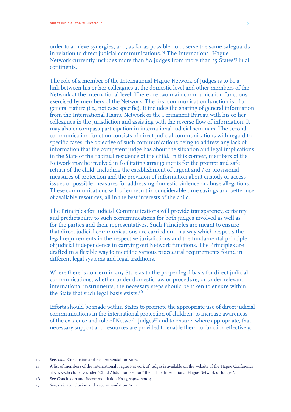order to achieve synergies, and, as far as possible, to observe the same safeguards in relation to direct judicial communications.14 The International Hague Network currently includes more than 80 judges from more than 55 States<sup>15</sup> in all continents.

The role of a member of the International Hague Network of Judges is to be a link between his or her colleagues at the domestic level and other members of the Network at the international level. There are two main communication functions exercised by members of the Network. The first communication function is of a general nature (*i.e*., not case specific). It includes the sharing of general information from the International Hague Network or the Permanent Bureau with his or her colleagues in the jurisdiction and assisting with the reverse flow of information. It may also encompass participation in international judicial seminars. The second communication function consists of direct judicial communications with regard to specific cases, the objective of such communications being to address any lack of information that the competent judge has about the situation and legal implications in the State of the habitual residence of the child. In this context, members of the Network may be involved in facilitating arrangements for the prompt and safe return of the child, including the establishment of urgent and / or provisional measures of protection and the provision of information about custody or access issues or possible measures for addressing domestic violence or abuse allegations. These communications will often result in considerable time savings and better use of available resources, all in the best interests of the child.

The Principles for Judicial Communications will provide transparency, certainty and predictability to such communications for both judges involved as well as for the parties and their representatives. Such Principles are meant to ensure that direct judicial communications are carried out in a way which respects the legal requirements in the respective jurisdictions and the fundamental principle of judicial independence in carrying out Network functions. The Principles are drafted in a flexible way to meet the various procedural requirements found in different legal systems and legal traditions.

Where there is concern in any State as to the proper legal basis for direct judicial communications, whether under domestic law or procedure, or under relevant international instruments, the necessary steps should be taken to ensure within the State that such legal basis exists.<sup>16</sup>

Efforts should be made within States to promote the appropriate use of direct judicial communications in the international protection of children, to increase awareness of the existence and role of Network Judges<sup>17</sup> and to ensure, where appropriate, that necessary support and resources are provided to enable them to function effectively.

<sup>14</sup> See, *ibid*., Conclusion and Recommendation No 6.

<sup>15</sup> A list of members of the International Hague Network of Judges is available on the website of the Hague Conference at < www.hcch.net > under "Child Abduction Section" then "The International Hague Network of Judges".

<sup>16</sup> See Conclusion and Recommendation No 15, *supra*, note 4.

<sup>17</sup> See, *ibid*., Conclusion and Recommendation No 11.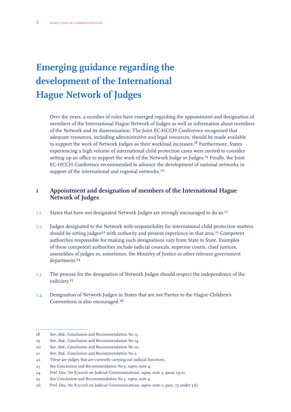## **Emerging guidance regarding the development of the International Hague Network of Judges**

Over the years, a number of rules have emerged regarding the appointment and designation of members of the International Hague Network of Judges as well as information about members of the Network and its dissemination. The Joint EC-HCCH Conference recognised that adequate resources, including administrative and legal resources, should be made available to support the work of Network Judges as their workload increases.<sup>18</sup> Furthermore, States experiencing a high volume of international child protection cases were invited to consider setting up an office to support the work of the Network Judge or Judges.<sup>19</sup> Finally, the Joint EC-HCCH Conference recommended to advance the development of national networks in support of the international and regional networks.<sup>20</sup>

#### **1 Appointment and designation of members of the International Hague Network of Judges**

- 1.1 States that have not designated Network Judges are strongly encouraged to do so.<sup>21</sup>
- 1.2 Judges designated to the Network with responsibility for international child protection matters should be sitting judges<sup>22</sup> with authority and present experience in that area.<sup>23</sup> Competent authorities responsible for making such designations vary from State to State. Examples of these competent authorities include judicial councils, supreme courts, chief justices, assemblies of judges or, sometimes, the Ministry of Justice or other relevant government department.<sup>24</sup>
- 1.3 The process for the designation of Network Judges should respect the independence of the judiciary.<sup>25</sup>
- 1.4 Designation of Network Judges in States that are not Parties to the Hague Children's Conventions is also encouraged.26

<sup>18</sup> See, *ibid*., Conclusion and Recommendation No 13.

<sup>19</sup> See, *ibid*., Conclusion and Recommendation No 14.

<sup>20</sup> See, *ibid*., Conclusion and Recommendation No 10.

<sup>21</sup> See, *ibid*., Conclusion and Recommendation No 2.

<sup>22</sup> These are judges that are currently carrying out judicial functions.

<sup>23</sup> See Conclusion and Recommendation No 3, *supra*, note 4.

<sup>24</sup> Prel. Doc. No 8/2006 on Judicial Communications, *supra,* note 2, paras 19-21.

<sup>25</sup> See Conclusion and Recommendation No 5, *supra*, note 4.

<sup>26</sup> Prel. Doc. No 8/2006 on Judicial Communications, *supra,* note 2, para. 73 under 3 *k)*.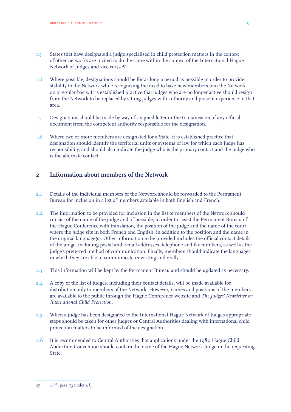- 1.5 States that have designated a judge specialised in child protection matters in the context of other networks are invited to do the same within the context of the International Hague Network of Judges and vice versa.<sup>27</sup>
- 1.6 Where possible, designations should be for as long a period as possible in order to provide stability to the Network while recognising the need to have new members join the Network on a regular basis. It is established practice that judges who are no longer active should resign from the Network to be replaced by sitting judges with authority and present experience in that area.
- 1.7 Designations should be made by way of a signed letter or the transmission of any official document from the competent authority responsible for the designation.
- 1.8 Where two or more members are designated for a State, it is established practice that designation should identify the territorial units or systems of law for which each judge has responsibility, and should also indicate the judge who is the primary contact and the judge who is the alternate contact.

#### **2 Information about members of the Network**

- 2.1 Details of the individual members of the Network should be forwarded to the Permanent Bureau for inclusion in a list of members available in both English and French.
- 2.2 The information to be provided for inclusion in the list of members of the Network should consist of the name of the judge and, if possible, in order to assist the Permanent Bureau of the Hague Conference with translation, the position of the judge and the name of the court where the judge sits in both French and English, in addition to the position and the name in the original language(s). Other information to be provided includes the official contact details of the judge, including postal and e-mail addresses, telephone and fax numbers, as well as the judge's preferred method of communication. Finally, members should indicate the languages in which they are able to communicate in writing and orally.
- 2.3 This information will be kept by the Permanent Bureau and should be updated as necessary.
- 2.4 A copy of the list of judges, including their contact details, will be made available for distribution only to members of the Network. However, names and positions of the members are available to the public through the Hague Conference website and *The Judges' Newsletter on International Child Protection.*
- 2.5 When a judge has been designated to the International Hague Network of Judges appropriate steps should be taken for other judges or Central Authorities dealing with international child protection matters to be informed of the designation.
- 2.6 It is recommended to Central Authorities that applications under the 1980 Hague Child Abduction Convention should contain the name of the Hague Network Judge in the requesting State.

<sup>27</sup> *Ibid*., para. 73 under 4 *l)*.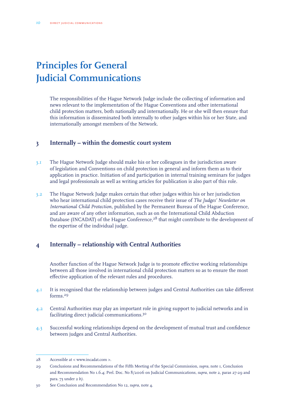## **Principles for General Judicial Communications**

The responsibilities of the Hague Network Judge include the collecting of information and news relevant to the implementation of the Hague Conventions and other international child protection matters, both nationally and internationally. He or she will then ensure that this information is disseminated both internally to other judges within his or her State, and internationally amongst members of the Network.

#### **3 Internally – within the domestic court system**

- 3.1 The Hague Network Judge should make his or her colleagues in the jurisdiction aware of legislation and Conventions on child protection in general and inform them as to their application in practice. Initiation of and participation in internal training seminars for judges and legal professionals as well as writing articles for publication is also part of this role.
- 3.2 The Hague Network Judge makes certain that other judges within his or her jurisdiction who hear international child protection cases receive their issue of *The Judges' Newsletter on International Child Protection*, published by the Permanent Bureau of the Hague Conference, and are aware of any other information, such as on the International Child Abduction Database (INCADAT) of the Hague Conference,<sup>28</sup> that might contribute to the development of the expertise of the individual judge.

#### **4 Internally – relationship with Central Authorities**

Another function of the Hague Network Judge is to promote effective working relationships between all those involved in international child protection matters so as to ensure the most effective application of the relevant rules and procedures.

- 4.1 It is recognised that the relationship between judges and Central Authorities can take different forms<sup>29</sup>
- 4.2 Central Authorities may play an important role in giving support to judicial networks and in facilitating direct judicial communications.30
- 4.3 Successful working relationships depend on the development of mutual trust and confidence between judges and Central Authorities.

<sup>28</sup> Accessible at < www.incadat.com >.

<sup>29</sup> Conclusions and Recommendations of the Fifth Meeting of the Special Commission, *supra*, note 1, Conclusion and Recommendation No 1.6.4; Prel. Doc. No 8/2006 on Judicial Communications, *supra*, note 2, paras 27-29 and para. 73 under 2 *b)*.

<sup>30</sup> See Conclusion and Recommendation No 12, *supra*, note 4.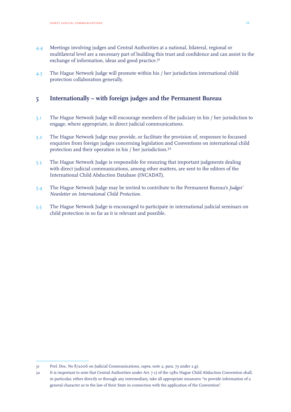- 4.4 Meetings involving judges and Central Authorities at a national, bilateral, regional or multilateral level are a necessary part of building this trust and confidence and can assist in the exchange of information, ideas and good practice.<sup>31</sup>
- 4.5 The Hague Network Judge will promote within his / her jurisdiction international child protection collaboration generally.

#### **5 Internationally – with foreign judges and the Permanent Bureau**

- 5.1 The Hague Network Judge will encourage members of the judiciary in his / her jurisdiction to engage, where appropriate, in direct judicial communications.
- 5.2 The Hague Network Judge may provide, or facilitate the provision of, responses to focussed enquiries from foreign judges concerning legislation and Conventions on international child protection and their operation in his / her jurisdiction.32
- 5.3 The Hague Network Judge is responsible for ensuring that important judgments dealing with direct judicial communications, among other matters, are sent to the editors of the International Child Abduction Database (INCADAT).
- 5.4 The Hague Network Judge may be invited to contribute to the Permanent Bureau's *Judges' Newsletter on International Child Protection*.
- 5.5 The Hague Network Judge is encouraged to participate in international judicial seminars on child protection in so far as it is relevant and possible.

<sup>31</sup> Prel. Doc. No 8/2006 on Judicial Communications, *supra,* note 2, para. 73 under 2 *g)*.

<sup>32</sup> It is important to note that Central Authorities under Art. 7 *e)* of the 1980 Hague Child Abduction Convention shall, in particular, either directly or through any intermediary, take all appropriate measures "to provide information of a general character as to the law of their State in connection with the application of the Convention".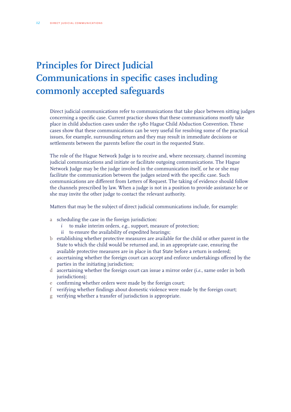## **Principles for Direct Judicial Communications in specific cases including commonly accepted safeguards**

Direct judicial communications refer to communications that take place between sitting judges concerning a specific case. Current practice shows that these communications mostly take place in child abduction cases under the 1980 Hague Child Abduction Convention. These cases show that these communications can be very useful for resolving some of the practical issues, for example, surrounding return and they may result in immediate decisions or settlements between the parents before the court in the requested State.

The role of the Hague Network Judge is to receive and, where necessary, channel incoming judicial communications and initiate or facilitate outgoing communications. The Hague Network Judge may be the judge involved in the communication itself, or he or she may facilitate the communication between the judges seized with the specific case. Such communications are different from Letters of Request. The taking of evidence should follow the channels prescribed by law. When a judge is not in a position to provide assistance he or she may invite the other judge to contact the relevant authority.

Matters that may be the subject of direct judicial communications include, for example:

- a scheduling the case in the foreign jurisdiction:
	- *i* to make interim orders, *e.g*., support, measure of protection;
	- *ii* to ensure the availability of expedited hearings;
- b establishing whether protective measures are available for the child or other parent in the State to which the child would be returned and, in an appropriate case, ensuring the available protective measures are in place in that State before a return is ordered;
- c ascertaining whether the foreign court can accept and enforce undertakings offered by the parties in the initiating jurisdiction;
- d ascertaining whether the foreign court can issue a mirror order (*i.e.*, same order in both jurisdictions);
- e confirming whether orders were made by the foreign court;
- f verifying whether findings about domestic violence were made by the foreign court;
- g verifying whether a transfer of jurisdiction is appropriate.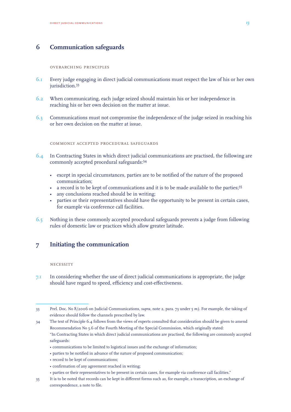#### **6 Communication safeguards**

#### overarching principles

- 6.1 Every judge engaging in direct judicial communications must respect the law of his or her own jurisdiction.<sup>33</sup>
- 6.2 When communicating, each judge seized should maintain his or her independence in reaching his or her own decision on the matter at issue.
- 6.3 Communications must not compromise the independence of the judge seized in reaching his or her own decision on the matter at issue.

commonly accepted procedural safeguards

- 6.4 In Contracting States in which direct judicial communications are practised, the following are commonly accepted procedural safeguards:34
	- except in special circumstances, parties are to be notified of the nature of the proposed communication;
	- a record is to be kept of communications and it is to be made available to the parties;<sup>35</sup>
	- any conclusions reached should be in writing;
	- parties or their representatives should have the opportunity to be present in certain cases, for example via conference call facilities.
- 6.5 Nothing in these commonly accepted procedural safeguards prevents a judge from following rules of domestic law or practices which allow greater latitude.

#### **7 Initiating the communication**

#### **NECESSITY**

7.1 In considering whether the use of direct judicial communications is appropriate, the judge should have regard to speed, efficiency and cost-effectiveness.

- parties to be notified in advance of the nature of proposed communication;
- record to be kept of communications;
- • confirmation of any agreement reached in writing;
- parties or their representatives to be present in certain cases, for example via conference call facilities."
- 35 It is to be noted that records can be kept in different forms such as, for example, a transcription, an exchange of correspondence, a note to file.

<sup>33</sup> Prel. Doc. No 8/2006 on Judicial Communications, *supra,* note 2, para. 73 under 5 *m)*. For example, the taking of evidence should follow the channels prescribed by law.

<sup>34</sup> The text of Principle 6.4 follows from the views of experts consulted that consideration should be given to amend Recommendation No 5.6 of the Fourth Meeting of the Special Commission, which originally stated: "In Contracting States in which direct judicial communications are practised, the following are commonly accepted safeguards:

<sup>•</sup> communications to be limited to logistical issues and the exchange of information;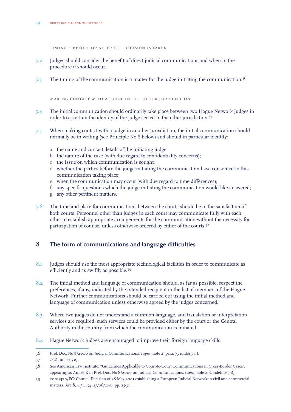timing – before or after the decision is taken

- 7.2 Judges should consider the benefit of direct judicial communications and when in the procedure it should occur.
- 7.3 The timing of the communication is a matter for the judge initiating the communication.<sup>36</sup>

making contact with a judge in the other jurisdiction

- 7.4 The initial communication should ordinarily take place between two Hague Network Judges in order to ascertain the identity of the judge seized in the other jurisdiction.37
- 7.5 When making contact with a judge in another jurisdiction, the initial communication should normally be in writing (see Principle No 8 below) and should in particular identify:
	- a the name and contact details of the initiating judge;
	- b the nature of the case (with due regard to confidentiality concerns);
	- c the issue on which communication is sought;
	- d whether the parties before the judge initiating the communication have consented to this communication taking place;
	- e when the communication may occur (with due regard to time differences);
	- f any specific questions which the judge initiating the communication would like answered;
	- g any other pertinent matters.
- 7.6 The time and place for communications between the courts should be to the satisfaction of both courts. Personnel other than judges in each court may communicate fully with each other to establish appropriate arrangements for the communication without the necessity for participation of counsel unless otherwise ordered by either of the courts.<sup>38</sup>

#### **8 The form of communications and language difficulties**

- 8.1 Judges should use the most appropriate technological facilities in order to communicate as efficiently and as swiftly as possible.39
- 8.2 The initial method and language of communication should, as far as possible, respect the preferences, if any, indicated by the intended recipient in the list of members of the Hague Network. Further communications should be carried out using the initial method and language of communication unless otherwise agreed by the judges concerned.
- 8.3 Where two judges do not understand a common language, and translation or interpretation services are required, such services could be provided either by the court or the Central Authority in the country from which the communication is initiated.
- 8.4 Hague Network Judges are encouraged to improve their foreign language skills.

<sup>36</sup> Prel. Doc. No 8/2006 on Judicial Communications, *supra*, note 2, para. 73 under 5 *n)*.

<sup>37</sup> *Ibid.*, under *5 o)*.

<sup>38</sup> See American Law Institute, "Guidelines Applicable to Court-to-Court Communications in Cross-Border Cases", appearing as Annex K in Prel. Doc. No 8/2006 on Judicial Communications, *supra,* note 2, Guideline 7 *d)*.

<sup>39</sup> 2001/470/EC: Council Decision of 28 May 2001 establishing a European Judicial Network in civil and commercial matters, Art. 8, *OJ L 174, 27/06/2001*, pp. 25-31.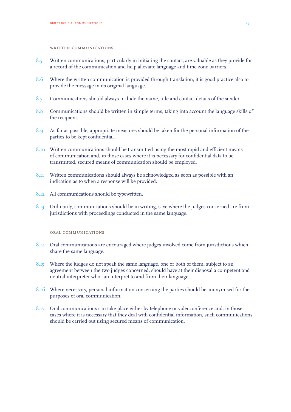#### WRITTEN COMMUNICATIONS

- 8.5 Written communications, particularly in initiating the contact, are valuable as they provide for a record of the communication and help alleviate language and time zone barriers.
- 8.6 Where the written communication is provided through translation, it is good practice also to provide the message in its original language.
- 8.7 Communications should always include the name, title and contact details of the sender.
- 8.8 Communications should be written in simple terms, taking into account the language skills of the recipient.
- 8.9 As far as possible, appropriate measures should be taken for the personal information of the parties to be kept confidential.
- 8.10 Written communications should be transmitted using the most rapid and efficient means of communication and, in those cases where it is necessary for confidential data to be transmitted, secured means of communication should be employed.
- 8.11 Written communications should always be acknowledged as soon as possible with an indication as to when a response will be provided.
- 8.12 All communications should be typewritten.
- 8.13 Ordinarily, communications should be in writing, save where the judges concerned are from jurisdictions with proceedings conducted in the same language.

#### oral communications

- 8.14 Oral communications are encouraged where judges involved come from jurisdictions which share the same language.
- 8.15 Where the judges do not speak the same language, one or both of them, subject to an agreement between the two judges concerned, should have at their disposal a competent and neutral interpreter who can interpret to and from their language.
- 8.16 Where necessary, personal information concerning the parties should be anonymised for the purposes of oral communication.
- 8.17 Oral communications can take place either by telephone or videoconference and, in those cases where it is necessary that they deal with confidential information, such communications should be carried out using secured means of communication.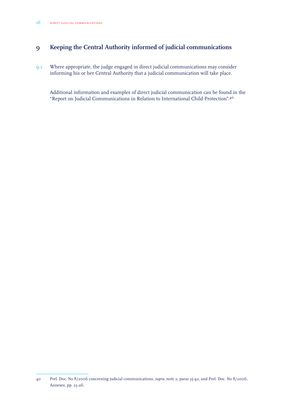#### **9 Keeping the Central Authority informed of judicial communications**

9.1 Where appropriate, the judge engaged in direct judicial communications may consider informing his or her Central Authority that a judicial communication will take place.

Additional information and examples of direct judicial communication can be found in the "Report on Judicial Communications in Relation to International Child Protection".40

<sup>40</sup> Prel. Doc. No 8/2006 concerning judicial communications, *supra*, note 2, paras 35-42, and Prel. Doc. No 8/2006, Annexes, pp. 23-26.